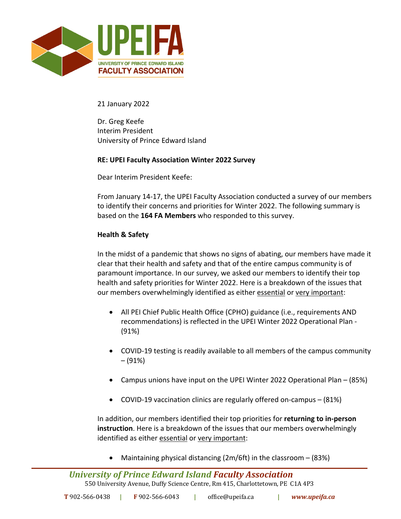

21 January 2022

Dr. Greg Keefe Interim President University of Prince Edward Island

## **RE: UPEI Faculty Association Winter 2022 Survey**

Dear Interim President Keefe:

From January 14-17, the UPEI Faculty Association conducted a survey of our members to identify their concerns and priorities for Winter 2022. The following summary is based on the **164 FA Members** who responded to this survey.

## **Health & Safety**

In the midst of a pandemic that shows no signs of abating, our members have made it clear that their health and safety and that of the entire campus community is of paramount importance. In our survey, we asked our members to identify their top health and safety priorities for Winter 2022. Here is a breakdown of the issues that our members overwhelmingly identified as either essential or very important:

- All PEI Chief Public Health Office (CPHO) guidance (i.e., requirements AND recommendations) is reflected in the UPEI Winter 2022 Operational Plan - (91%)
- COVID-19 testing is readily available to all members of the campus community – (91%)
- Campus unions have input on the UPEI Winter 2022 Operational Plan (85%)
- COVID-19 vaccination clinics are regularly offered on-campus (81%)

In addition, our members identified their top priorities for **returning to in-person instruction**. Here is a breakdown of the issues that our members overwhelmingly identified as either essential or very important:

• Maintaining physical distancing  $(2m/6ft)$  in the classroom  $- (83%)$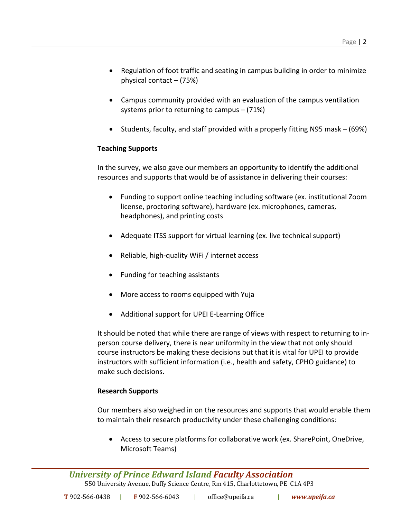- Regulation of foot traffic and seating in campus building in order to minimize physical contact – (75%)
- Campus community provided with an evaluation of the campus ventilation systems prior to returning to campus – (71%)
- Students, faculty, and staff provided with a properly fitting N95 mask (69%)

# **Teaching Supports**

In the survey, we also gave our members an opportunity to identify the additional resources and supports that would be of assistance in delivering their courses:

- Funding to support online teaching including software (ex. institutional Zoom license, proctoring software), hardware (ex. microphones, cameras, headphones), and printing costs
- Adequate ITSS support for virtual learning (ex. live technical support)
- Reliable, high-quality WiFi / internet access
- Funding for teaching assistants
- More access to rooms equipped with Yuja
- Additional support for UPEI E-Learning Office

It should be noted that while there are range of views with respect to returning to inperson course delivery, there is near uniformity in the view that not only should course instructors be making these decisions but that it is vital for UPEI to provide instructors with sufficient information (i.e., health and safety, CPHO guidance) to make such decisions.

# **Research Supports**

Our members also weighed in on the resources and supports that would enable them to maintain their research productivity under these challenging conditions:

• Access to secure platforms for collaborative work (ex. SharePoint, OneDrive, Microsoft Teams)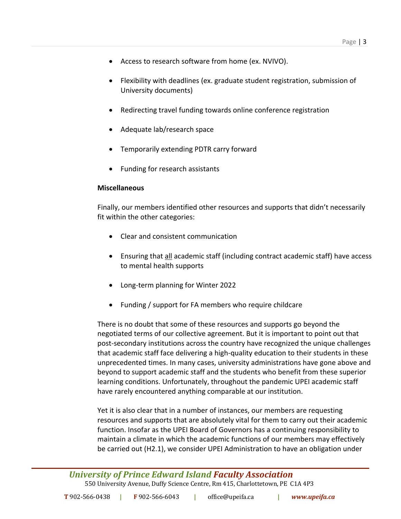- Access to research software from home (ex. NVIVO).
- Flexibility with deadlines (ex. graduate student registration, submission of University documents)
- Redirecting travel funding towards online conference registration
- Adequate lab/research space
- Temporarily extending PDTR carry forward
- Funding for research assistants

### **Miscellaneous**

Finally, our members identified other resources and supports that didn't necessarily fit within the other categories:

- Clear and consistent communication
- Ensuring that all academic staff (including contract academic staff) have access to mental health supports
- Long-term planning for Winter 2022
- Funding / support for FA members who require childcare

There is no doubt that some of these resources and supports go beyond the negotiated terms of our collective agreement. But it is important to point out that post-secondary institutions across the country have recognized the unique challenges that academic staff face delivering a high-quality education to their students in these unprecedented times. In many cases, university administrations have gone above and beyond to support academic staff and the students who benefit from these superior learning conditions. Unfortunately, throughout the pandemic UPEI academic staff have rarely encountered anything comparable at our institution.

Yet it is also clear that in a number of instances, our members are requesting resources and supports that are absolutely vital for them to carry out their academic function. Insofar as the UPEI Board of Governors has a continuing responsibility to maintain a climate in which the academic functions of our members may effectively be carried out (H2.1), we consider UPEI Administration to have an obligation under